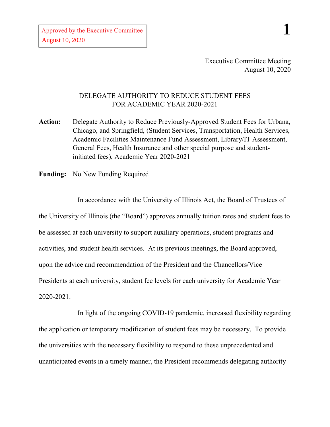Approved by the Executive Committee August 10, 2020

Executive Committee Meeting August 10, 2020

## DELEGATE AUTHORITY TO REDUCE STUDENT FEES FOR ACADEMIC YEAR 2020-2021

**Action:** Delegate Authority to Reduce Previously-Approved Student Fees for Urbana, Chicago, and Springfield, (Student Services, Transportation, Health Services, Academic Facilities Maintenance Fund Assessment, Library/IT Assessment, General Fees, Health Insurance and other special purpose and studentinitiated fees), Academic Year 2020-2021

**Funding:** No New Funding Required

In accordance with the University of Illinois Act, the Board of Trustees of the University of Illinois (the "Board") approves annually tuition rates and student fees to be assessed at each university to support auxiliary operations, student programs and activities, and student health services. At its previous meetings, the Board approved, upon the advice and recommendation of the President and the Chancellors/Vice Presidents at each university, student fee levels for each university for Academic Year 2020-2021.

In light of the ongoing COVID-19 pandemic, increased flexibility regarding the application or temporary modification of student fees may be necessary. To provide the universities with the necessary flexibility to respond to these unprecedented and unanticipated events in a timely manner, the President recommends delegating authority